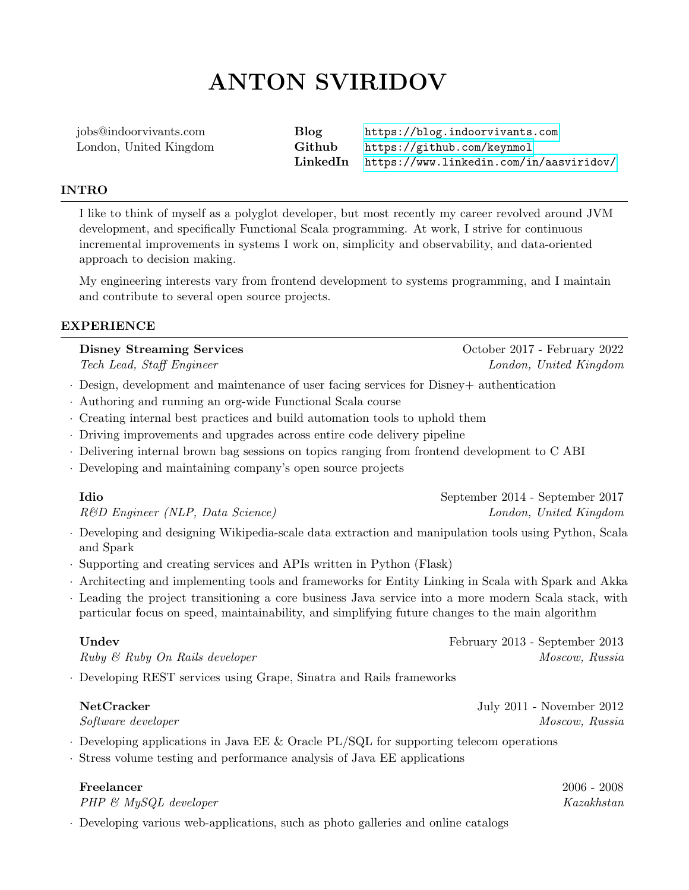# ANTON SVIRIDOV

| jobs@indoorvivants.com | Blog   | https://blog.indoorvivants.com                   |
|------------------------|--------|--------------------------------------------------|
| London, United Kingdom | Github | https://github.com/keynmol                       |
|                        |        | LinkedIn https://www.linkedin.com/in/aasviridov/ |

### INTRO

I like to think of myself as a polyglot developer, but most recently my career revolved around JVM development, and specifically Functional Scala programming. At work, I strive for continuous incremental improvements in systems I work on, simplicity and observability, and data-oriented approach to decision making.

My engineering interests vary from frontend development to systems programming, and I maintain and contribute to several open source projects.

### EXPERIENCE

Disney Streaming Services October 2017 - February 2022 Tech Lead, Staff Engineer London, United Kingdom

- · Design, development and maintenance of user facing services for Disney+ authentication
- · Authoring and running an org-wide Functional Scala course
- · Creating internal best practices and build automation tools to uphold them
- · Driving improvements and upgrades across entire code delivery pipeline
- · Delivering internal brown bag sessions on topics ranging from frontend development to C ABI
- · Developing and maintaining company's open source projects

| Idio                             | September 2014 - September 2017 |
|----------------------------------|---------------------------------|
| R&D Engineer (NLP, Data Science) | London, United Kingdom          |

- · Developing and designing Wikipedia-scale data extraction and manipulation tools using Python, Scala and Spark
- · Supporting and creating services and APIs written in Python (Flask)
- · Architecting and implementing tools and frameworks for Entity Linking in Scala with Spark and Akka
- · Leading the project transitioning a core business Java service into a more modern Scala stack, with particular focus on speed, maintainability, and simplifying future changes to the main algorithm

Undev February 2013 - September 2013  $Ruby \& Ruby On \; Rails \; developer$  and the contract of the matrix  $Moscow, \; Russian$ 

· Developing REST services using Grape, Sinatra and Rails frameworks

| NetCracker |
|------------|
|------------|

July  $2011$  - November  $2012$  $Software \ development$  Moscow, Russia

- · Developing applications in Java EE & Oracle PL/SQL for supporting telecom operations
- · Stress volume testing and performance analysis of Java EE applications

| Freelancer                  | $2006 - 2008$ |
|-----------------------------|---------------|
| $PHP \& MySQL \; developer$ | Kazakhstan    |
|                             |               |

· Developing various web-applications, such as photo galleries and online catalogs